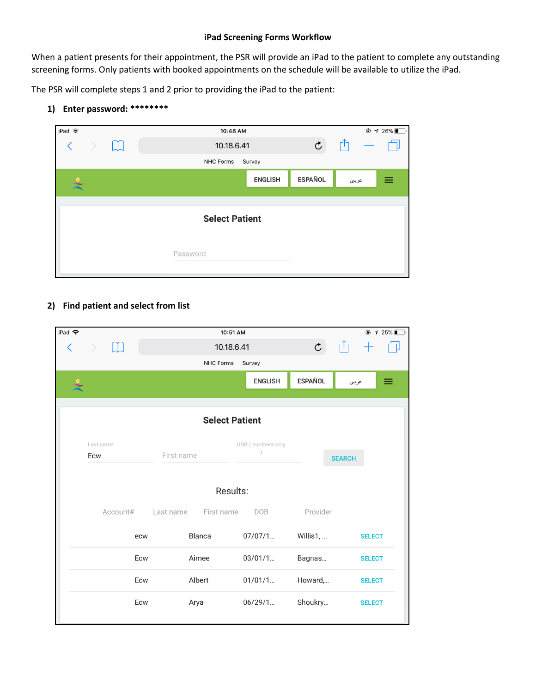## **iPad Screening Forms Workflow**

When a patient presents for their appointment, the PSR will provide an iPad to the patient to complete any outstanding screening forms. Only patients with booked appointments on the schedule will be available to utilize the iPad.

The PSR will complete steps 1 and 2 prior to providing the iPad to the patient:

**1) Enter password: \*\*\*\*\*\*\*\***



## **2) Find patient and select from list**

| iPad 今   |                  |           | 10:51 AM                        |                |                | $\odot$ 4 25% |  |  |  |  |
|----------|------------------|-----------|---------------------------------|----------------|----------------|---------------|--|--|--|--|
|          |                  |           | 10.18.6.41                      |                | $\mathfrak{C}$ |               |  |  |  |  |
|          |                  |           | NHC Forms                       | Survey         |                |               |  |  |  |  |
|          |                  |           |                                 | <b>ENGLISH</b> | <b>ESPAÑOL</b> | ≡<br>عربي     |  |  |  |  |
|          |                  |           |                                 |                |                |               |  |  |  |  |
|          |                  |           | <b>Select Patient</b>           |                |                |               |  |  |  |  |
|          | Last name<br>Ecw |           | DOB (numbers only<br>First name |                |                | <b>SEARCH</b> |  |  |  |  |
| Results: |                  |           |                                 |                |                |               |  |  |  |  |
|          | Account#         | Last name | First name                      | <b>DOB</b>     | Provider       |               |  |  |  |  |
|          | ecw              |           | Blanca                          | 07/07/1        | Willis1,       | <b>SELECT</b> |  |  |  |  |
|          | Ecw              |           | Aimee                           | 03/01/1        | Bagnas         | <b>SELECT</b> |  |  |  |  |
|          | Ecw              |           | Albert                          | 01/01/1        | Howard,        | <b>SELECT</b> |  |  |  |  |
|          | Ecw              |           | Arya                            |                | Shoukry        | <b>SELECT</b> |  |  |  |  |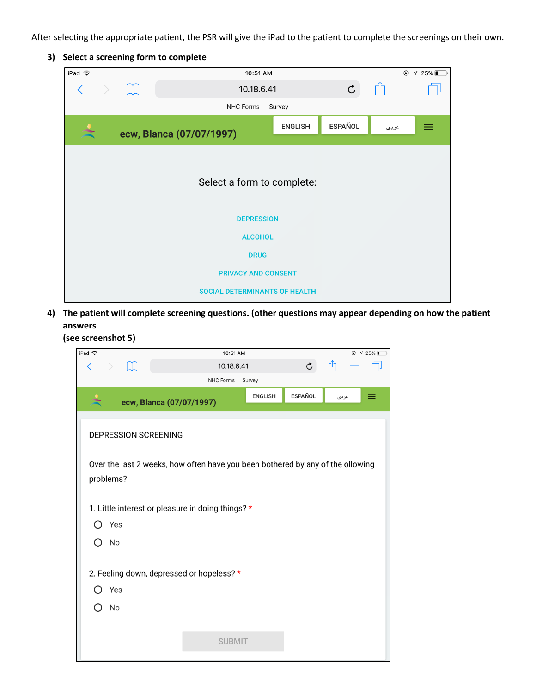After selecting the appropriate patient, the PSR will give the iPad to the patient to complete the screenings on their own.

## **3) Select a screening form to complete**

| iPad $\widehat{\mathbf{z}}$          |                          | 10:51 AM   |                | $@$ $4$ 25%    |      |   |  |  |  |  |
|--------------------------------------|--------------------------|------------|----------------|----------------|------|---|--|--|--|--|
| $\langle$<br>$\rightarrow$           | H                        | 10.18.6.41 | $\mathfrak{C}$ | Γĥ             |      |   |  |  |  |  |
|                                      | NHC Forms<br>Survey      |            |                |                |      |   |  |  |  |  |
|                                      | ecw, Blanca (07/07/1997) |            | <b>ENGLISH</b> | <b>ESPAÑOL</b> | عربي | ≡ |  |  |  |  |
| Select a form to complete:           |                          |            |                |                |      |   |  |  |  |  |
| <b>DEPRESSION</b>                    |                          |            |                |                |      |   |  |  |  |  |
| <b>ALCOHOL</b>                       |                          |            |                |                |      |   |  |  |  |  |
| <b>DRUG</b>                          |                          |            |                |                |      |   |  |  |  |  |
| <b>PRIVACY AND CONSENT</b>           |                          |            |                |                |      |   |  |  |  |  |
| <b>SOCIAL DETERMINANTS OF HEALTH</b> |                          |            |                |                |      |   |  |  |  |  |

**4) The patient will complete screening questions. (other questions may appear depending on how the patient answers**

**(see screenshot 5)**

| iPad 令                                    |                                                                                             |  |                      |                          | 10:51 AM      |                |         |       |  | $\odot$ 7 25% |
|-------------------------------------------|---------------------------------------------------------------------------------------------|--|----------------------|--------------------------|---------------|----------------|---------|-------|--|---------------|
| ぐ                                         |                                                                                             |  |                      |                          | 10.18.6.41    |                | Ċ       |       |  |               |
|                                           |                                                                                             |  |                      | NHC Forms                | Survey        |                |         |       |  |               |
|                                           |                                                                                             |  |                      | ecw, Blanca (07/07/1997) |               | <b>ENGLISH</b> | ESPAÑOL | عرببى |  |               |
|                                           |                                                                                             |  | DEPRESSION SCREENING |                          |               |                |         |       |  |               |
|                                           | Over the last 2 weeks, how often have you been bothered by any of the ollowing<br>problems? |  |                      |                          |               |                |         |       |  |               |
|                                           | 1. Little interest or pleasure in doing things? *                                           |  |                      |                          |               |                |         |       |  |               |
|                                           | Yes                                                                                         |  |                      |                          |               |                |         |       |  |               |
|                                           | No                                                                                          |  |                      |                          |               |                |         |       |  |               |
| 2. Feeling down, depressed or hopeless? * |                                                                                             |  |                      |                          |               |                |         |       |  |               |
|                                           | Yes                                                                                         |  |                      |                          |               |                |         |       |  |               |
|                                           | No                                                                                          |  |                      |                          |               |                |         |       |  |               |
|                                           |                                                                                             |  |                      |                          |               |                |         |       |  |               |
|                                           |                                                                                             |  |                      |                          | <b>SUBMIT</b> |                |         |       |  |               |
|                                           |                                                                                             |  |                      |                          |               |                |         |       |  |               |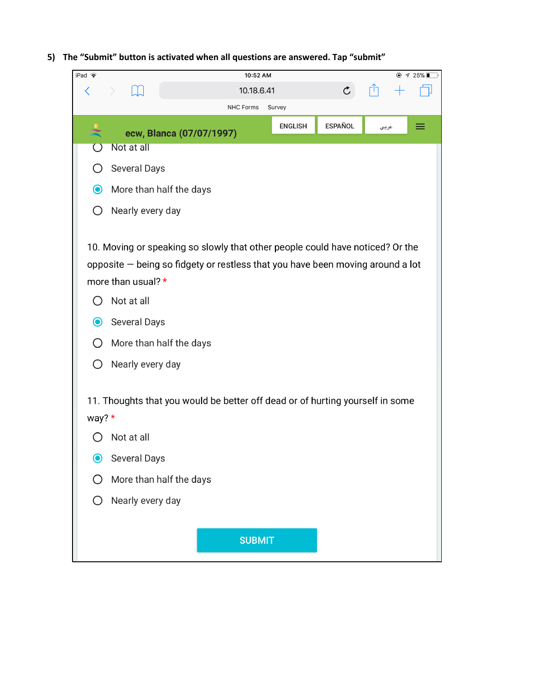**5) The "Submit" button is activated when all questions are answered. Tap "submit"**

| Pad $\widehat{\mathbf{z}}$                      | $\oplus$ 4 25%<br>10:52 AM                                                                                                                                                                                                                                         |
|-------------------------------------------------|--------------------------------------------------------------------------------------------------------------------------------------------------------------------------------------------------------------------------------------------------------------------|
| く                                               | $\mathfrak{C}$<br>10.18.6.41                                                                                                                                                                                                                                       |
|                                                 | <b>NHC Forms</b><br>Survey                                                                                                                                                                                                                                         |
|                                                 | <b>ESPAÑOL</b><br><b>ENGLISH</b><br>≡<br>عربي<br>ecw, Blanca (07/07/1997)                                                                                                                                                                                          |
|                                                 | Not at all                                                                                                                                                                                                                                                         |
|                                                 | <b>Several Days</b>                                                                                                                                                                                                                                                |
| $\bullet$                                       | More than half the days                                                                                                                                                                                                                                            |
| $\left( \begin{array}{c} 1 \end{array} \right)$ | Nearly every day                                                                                                                                                                                                                                                   |
| ()<br>$\mathbf{\Theta}$                         | 10. Moving or speaking so slowly that other people could have noticed? Or the<br>opposite - being so fidgety or restless that you have been moving around a lot<br>more than usual? *<br>Not at all<br>Several Days<br>More than half the days<br>Nearly every day |
|                                                 | 11. Thoughts that you would be better off dead or of hurting yourself in some                                                                                                                                                                                      |
| way? $*$                                        |                                                                                                                                                                                                                                                                    |
|                                                 | Not at all                                                                                                                                                                                                                                                         |
| $\mathbf{\Theta}$                               | Several Days                                                                                                                                                                                                                                                       |
|                                                 | More than half the days                                                                                                                                                                                                                                            |
|                                                 | Nearly every day                                                                                                                                                                                                                                                   |
|                                                 |                                                                                                                                                                                                                                                                    |
|                                                 | <b>SUBMIT</b>                                                                                                                                                                                                                                                      |